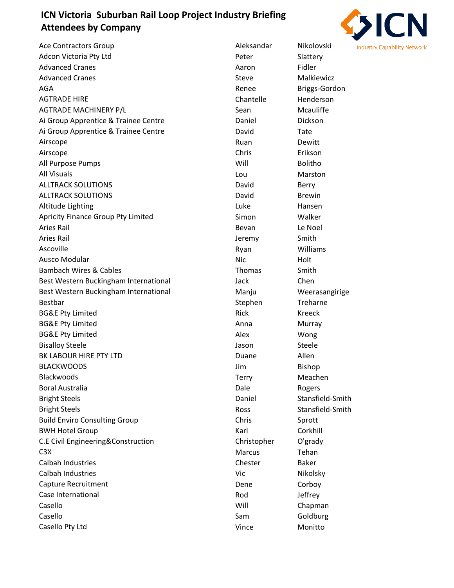## **ICN Victoria Suburban Rail Loop Project Industry Briefing Attendees by Company**



| <b>Ace Contractors Group</b>          | Aleksandar  | Nikolovski       |
|---------------------------------------|-------------|------------------|
| Adcon Victoria Pty Ltd                | Peter       | Slattery         |
| <b>Advanced Cranes</b>                | Aaron       | Fidler           |
| <b>Advanced Cranes</b>                | Steve       | Malkiewicz       |
| AGA                                   | Renee       | Briggs-Gordon    |
| <b>AGTRADE HIRE</b>                   | Chantelle   | Henderson        |
| <b>AGTRADE MACHINERY P/L</b>          | Sean        | Mcauliffe        |
| Ai Group Apprentice & Trainee Centre  | Daniel      | Dickson          |
| Ai Group Apprentice & Trainee Centre  | David       | Tate             |
| Airscope                              | Ruan        | Dewitt           |
| Airscope                              | Chris       | Erikson          |
| All Purpose Pumps                     | Will        | <b>Bolitho</b>   |
| <b>All Visuals</b>                    | Lou         | Marston          |
| <b>ALLTRACK SOLUTIONS</b>             | David       | Berry            |
| <b>ALLTRACK SOLUTIONS</b>             | David       | <b>Brewin</b>    |
| Altitude Lighting                     | Luke        | Hansen           |
| Apricity Finance Group Pty Limited    | Simon       | Walker           |
| <b>Aries Rail</b>                     | Bevan       | Le Noel          |
| <b>Aries Rail</b>                     | Jeremy      | Smith            |
| Ascoville                             | Ryan        | Williams         |
| <b>Ausco Modular</b>                  | <b>Nic</b>  | Holt             |
| <b>Bambach Wires &amp; Cables</b>     | Thomas      | Smith            |
| Best Western Buckingham International | Jack        | Chen             |
| Best Western Buckingham International | Manju       | Weerasangirige   |
| <b>Bestbar</b>                        | Stephen     | Treharne         |
| <b>BG&amp;E Pty Limited</b>           | <b>Rick</b> | Kreeck           |
| <b>BG&amp;E Pty Limited</b>           | Anna        | Murray           |
| <b>BG&amp;E Pty Limited</b>           | Alex        | Wong             |
| <b>Bisalloy Steele</b>                | Jason       | Steele           |
| BK LABOUR HIRE PTY LTD                | Duane       | Allen            |
| <b>BLACKWOODS</b>                     | Jim         | Bishop           |
| <b>Blackwoods</b>                     | Terry       | Meachen          |
| <b>Boral Australia</b>                | Dale        | Rogers           |
| <b>Bright Steels</b>                  | Daniel      | Stansfield-Smith |
| <b>Bright Steels</b>                  | Ross        | Stansfield-Smith |
| <b>Build Enviro Consulting Group</b>  | Chris       | Sprott           |
| <b>BWH Hotel Group</b>                | Karl        | Corkhill         |
| C.E Civil Engineering&Construction    | Christopher | O'grady          |
| C <sub>3</sub> X                      | Marcus      | Tehan            |
| Calbah Industries                     | Chester     | <b>Baker</b>     |
| Calbah Industries                     | Vic         | Nikolsky         |
| Capture Recruitment                   | Dene        | Corboy           |
| Case International                    | Rod         | Jeffrey          |
| Casello                               | Will        | Chapman          |
| Casello                               | Sam         | Goldburg         |
| Casello Pty Ltd                       | Vince       | Monitto          |
|                                       |             |                  |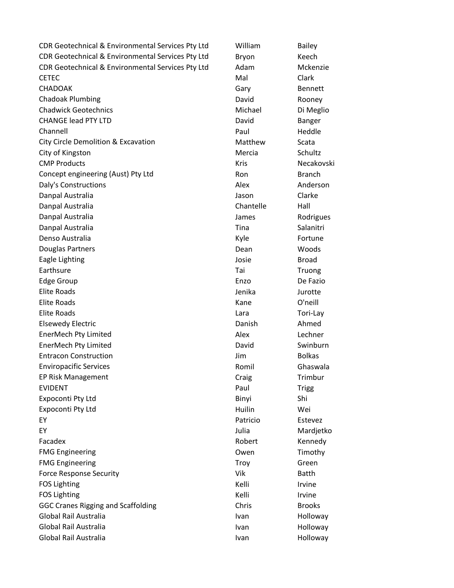CDR Geotechnical & Environmental Services Pty Ltd William Bailey CDR Geotechnical & Environmental Services Pty Ltd Bryon Keech CDR Geotechnical & Environmental Services Pty Ltd Adam Mckenzie CETEC CONTROLLER CONTROLLER CONTROLLER CONTROLLER CONTROLLER CONTROLLER CONTROLLER CONTROLLER CONTROLLER CONTROLLER CHADOAK Gary Bennett Chadoak Plumbing David Rooney Chadwick Geotechnics **Michael Dimension Chadwick Geotechnics** Michael Dimension Dimension Dimension Dimension Dimension Dimension Dimension Dimension Dimension Dimension Dimension Dimension Dimension Dimension Dimension Di CHANGE lead PTY LTD **David** Banger Channell **Example 2018 Paul Heddle** City Circle Demolition & Excavation Muslem Matthew Scata City of Kingston **Mercia** Schultz **City of Kingston** Mercia Schultz CMP Products **CMP** Products **CMP** Products **CMP** Products **CMP** Products **CMP** Products **CMP** Products **CMP CMP CMP CMP CMP CMP CMP CMP CMP CMP CMP CMP CMP CMP CMP CMP CMP CMP CMP CMP** Concept engineering (Aust) Pty Ltd Ron Branch Daly's Constructions and all the Constructions and Alex Anderson Danpal Australia dia dia kaominina dia kaominina mpikambanya dia kaominina dia kaominina dia kaominina dia kaom Danpal Australia Chantelle Hall Danpal Australia James Rodrigues Danpal Australia Tina Salanitri Denso Australia and a controller controller and the More of Kyle and Fortune Douglas Partners and Communications of the Dean Nucleon Woods and Dean Woods Eagle Lighting The Lighting Contract of the Lighting School and Lighting Broad Earthsure **Taille Earthsure** Taille and Truong and Truong and Truong and Truong and Truong and Truong and Truong Edge Group **Enzo** De Fazio Elite Roads Jenika Jurotte Elite Roads Kane O'neill Elite Roads Lara Tori-Lay Elsewedy Electric Danish Ahmed EnerMech Pty Limited Alex Lechner EnerMech Pty Limited **EnerMech Pty Limited** Controller Controller Controller David Entracon Construction Jim Bolkas Enviropacific Services **Enviropacific Services Romil** Ghaswala EP Risk Management Craig Trimbur EVIDENT **Paul Trigg** Expoconti Pty Ltd Shi Expoconti Pty Ltd **Huilin** Wei EY Patricio Estevez EY Julia Mardjetko Facadex **Robert** Kennedy FMG Engineering Timothy Coven Timothy FMG Engineering Troy Green Force Response Security **Contains a Container Security** Vik Batth FOS Lighting The Contract of the Contract of the Contract of Trustees and Kelli Irvine FOS Lighting The Contract of the Contract of the Contract of the Contract of the Contract of the Contract of the Contract of the Contract of the Contract of the Contract of the Contract of the Contract of the Contract of t GGC Cranes Rigging and Scaffolding The Chris Chris Brooks Global Rail Australia **Ivan Holloway** Ivan Holloway Global Rail Australia IVan Holloway (Global Rail Australia Ivan Holloway Global Rail Australia **Ivan Holloway** Ivan Holloway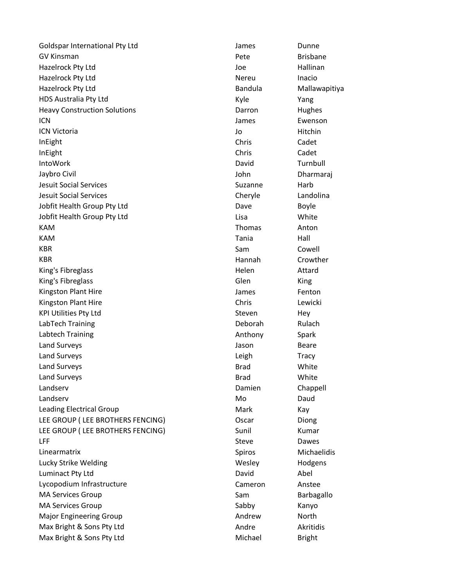Goldspar International Pty Ltd **Container Containers** James Dunne GV Kinsman **GV Allen Brisbane** Brisbane Brisbane Brisbane Hazelrock Pty Ltd Joe Hallinan Hazelrock Pty Ltd **Nereu** Inacio Hazelrock Pty Ltd Bandula Mallawapitiya HDS Australia Pty Ltd **Kyle** Kyle Yang Heavy Construction Solutions **Darron Hughes** Darron Hughes ICN James Ewenson ICN Victoria **International COVID-1** Separation of the U<sub>2</sub> Separation of the U<sub>2</sub> Separation of the Hitchin InEight Chris Cadet InEight Chris Cadet IntoWork **David** David **David** Turnbull Jaybro Civil John Dharmaraj Jesuit Social Services Suzanne Harb Jesuit Social Services Cheryle Landolina Jobfit Health Group Pty Ltd Dave Dave Boyle Jobfit Health Group Pty Ltd **Lisa** Lisa **White** KAM **Thomas** Anton KAM Tania Hall KBR **Sam Cowell** KBR **Hannah** Crowther King's Fibreglass and Attard Attard Attard Attard Attard Attard Attard Attard Attard King's Fibreglass and Communication of the Communication of Glen King Kingston Plant Hire **Fenton Fenton James** Fenton Kingston Plant Hire **Chris** Lewicki KPI Utilities Pty Ltd **Steven** Hey LabTech Training **Deborah** Rulach Rulach Rulach Rulach Rulach Rulach Rulach Rulach Rulach Rulach Rulach Rulach Rulach Rulach Rulach Rulach Rulach Rulach Rulach Rulach Rulach Rulach Rulach Rulach Rulach Rulach Rulach Rulach Labtech Training **Anthony** Spark Land Surveys **Contract Contract Contract Contract Contract Contract Contract Contract Contract Contract Contract Contract Contract Contract Contract Contract Contract Contract Contract Contract Contract Contract Contract C** Land Surveys **Leap Act and Surveys** Contract Contract Contract Contract Contract Contract Contract Contract Contract Contract Contract Contract Contract Contract Contract Contract Contract Contract Contract Contract Contra Land Surveys **Brad** White Land Surveys **Brad** White Landserv **Damien** Chappell Chappell Chappell Chappell Chappell Chappell Chappell Landserv **Daudiers** Controller Monthly Monthly Daudiers and Monthly Daudiers and Monthly Daudiers and Daudiers and Daudiers and Daudiers and Daudiers and Daudiers and Daudiers and Daudiers and Daudiers and Daudiers and Dau Leading Electrical Group **Mark** Mark Kay LEE GROUP (LEE BROTHERS FENCING) Oscar Diong LEE GROUP (LEE BROTHERS FENCING) Sunil Sunil Kumar LFF Steve Dawes Linearmatrix Spiros Michaelidis Lucky Strike Welding North Communication Control of Mesley North Hodgens Luminact Pty Ltd **Contract Pty Ltd** David Abel Lycopodium Infrastructure Cameron Cameron Anstee MA Services Group Sam Barbagallo MA Services Group National Communication of the Sabby Sabby Kanyo Major Engineering Group **Andrew** Andrew North Max Bright & Sons Pty Ltd **Andre** Akritidis Max Bright & Sons Pty Ltd Michael Bright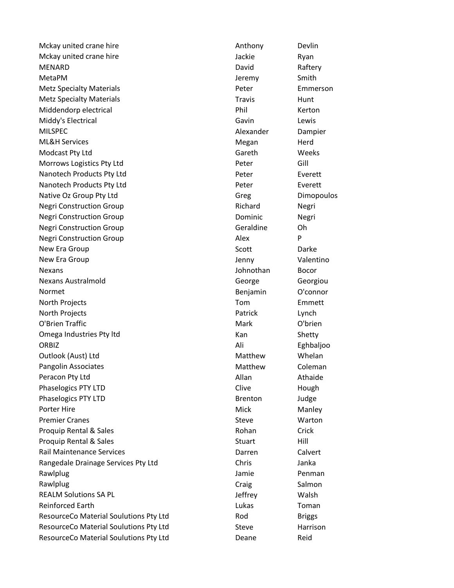Mckay united crane hire Anthony Devlin Mckay united crane hire **Acking the Contract Contract Contract Contract Contract Contract Contract Contract Contract Contract Contract Contract Contract Contract Contract Contract Contract Contract Contract Contract Contra** MENARD **David** David Raftery MetaPM 30 Smith Smith Smith Smith Smith Smith Smith Smith Smith Smith Smith Smith Metz Specialty Materials **Peter** Peter **Emmerson** Metz Specialty Materials Materials And Travis Munt Middendorp electrical and the control of the Phil Research Research Research American Research Research Research Research Research Research Research Research Research Research Research Research Research Research Research R Middy's Electrical and Cavin Cavin Cavin Cavin Lewis MILSPEC **Alexander** Dampier ML&H Services and the services of the services of the services of the services of the services of the services Modcast Pty Ltd Gareth Gareth Gareth Weeks Morrows Logistics Pty Ltd **Community Community Community Peter** Gill Nanotech Products Pty Ltd **Peter** Peter **Everett** Nanotech Products Pty Ltd **Peter** Peter Everett Native Oz Group Pty Ltd Gregory Control Gregory Control Gregory Dimopoulos Negri Construction Group Negri Richard Negri Negri Construction Group Negri Negri Negri Dominic Negri Negri Construction Group Communication Construction Group Construction Construction Construction Construction Co Negri Construction Group **Alex** P New Era Group New Library Scott New Library Darke New Era Group New York 1990 Service Contract Contract Area of the University Contract Oriental Area of the Univ Nexans Johnothan Bocor Nexans Australmold George Georgiou Normet **Benjamin** O'connor North Projects **Tom** Emmett North Projects **Exercise 2018 Patrick** Lynch O'Brien Traffic **Mark O'Brien C'houard a Vez Evreuse** Mark O'brien Omega Industries Pty Itd **Kan** Kan Shetty ORBIZ Ali Eghbaljoo Outlook (Aust) Ltd Matthew Matthew Whelan Pangolin Associates **Matthew Coleman Coleman** Peracon Pty Ltd **Allan** Athaide Athaide Athaide Athaide Athaide Athaide Athaide Phaselogics PTY LTD **Contains a struck of the Clive** Clive Hough Phaselogics PTY LTD Brenton Brenton Judge Porter Hire Manley Controller Mick Manley Mick Premier Cranes No. 2006 Steve Warton Steve Warton Steve Warton Steve Steve Warton Steve Warton Steve Steve Warton Steve Steve Warton Steve Steve Steve Steve Steve Steve Steve Steve Steve Steve Steve Steve Steve Steve Steve Proquip Rental & Sales **Rohan** Crick Rohan Crick Proquip Rental & Sales Stuart Nill Rail Maintenance Services Darren Calvert Rangedale Drainage Services Pty Ltd Chris Chris Chris Janka Rawlplug **Communist Communist Communist Communist Communist Communist Communist Communist Communist Communist Communist Communist Communist Communist Communist Communist Communist Communist Communist Communist Communist Co** Rawlplug **Craig Craig Craig Craig** Salmon REALM Solutions SA PL **Solutions** SA PL **Solutions** SA PL 30 and 30 and 30 and 30 and 30 and 30 and 30 and 30 and 30 and 30 and 30 and 30 and 30 and 30 and 30 and 30 and 30 and 30 and 30 and 30 and 30 and 30 and 30 and 30 **Reinforced Earth Lukas** Toman Lukas Toman Toman Lukas Toman Toman Lukas Toman Toman Toman Toman Lukas Toman Toman ResourceCo Material Soulutions Pty Ltd **Rod** Rod Briggs ResourceCo Material Soulutions Pty Ltd Steve Steve Harrison ResourceCo Material Soulutions Pty Ltd Deane Deane Reid